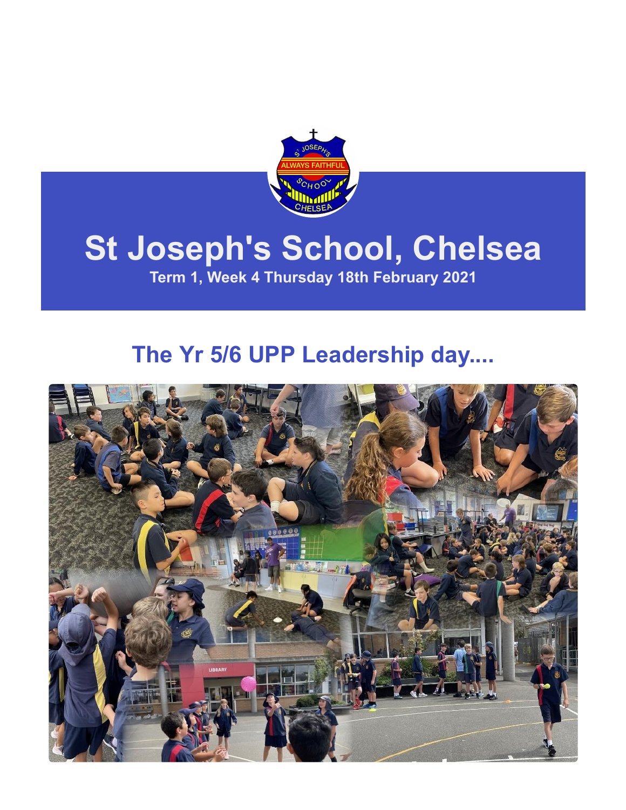

# **St Joseph's School, Chelsea**

**Term 1, Week 4 Thursday 18th February 2021**

### **The Yr 5/6 UPP Leadership day....**

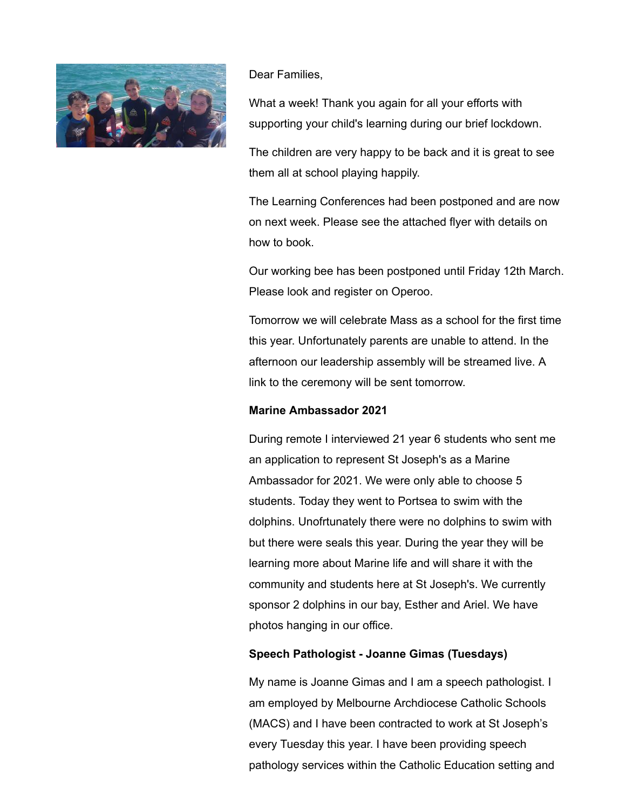

### Dear Families,

What a week! Thank you again for all your efforts with supporting your child's learning during our brief lockdown.

The children are very happy to be back and it is great to see them all at school playing happily.

The Learning Conferences had been postponed and are now on next week. Please see the attached flyer with details on how to book.

Our working bee has been postponed until Friday 12th March. Please look and register on Operoo.

Tomorrow we will celebrate Mass as a school for the first time this year. Unfortunately parents are unable to attend. In the afternoon our leadership assembly will be streamed live. A link to the ceremony will be sent tomorrow.

### **Marine Ambassador 2021**

During remote I interviewed 21 year 6 students who sent me an application to represent St Joseph's as a Marine Ambassador for 2021. We were only able to choose 5 students. Today they went to Portsea to swim with the dolphins. Unofrtunately there were no dolphins to swim with but there were seals this year. During the year they will be learning more about Marine life and will share it with the community and students here at St Joseph's. We currently sponsor 2 dolphins in our bay, Esther and Ariel. We have photos hanging in our office.

### **Speech Pathologist - Joanne Gimas (Tuesdays)**

My name is Joanne Gimas and I am a speech pathologist. I am employed by Melbourne Archdiocese Catholic Schools (MACS) and I have been contracted to work at St Joseph's every Tuesday this year. I have been providing speech pathology services within the Catholic Education setting and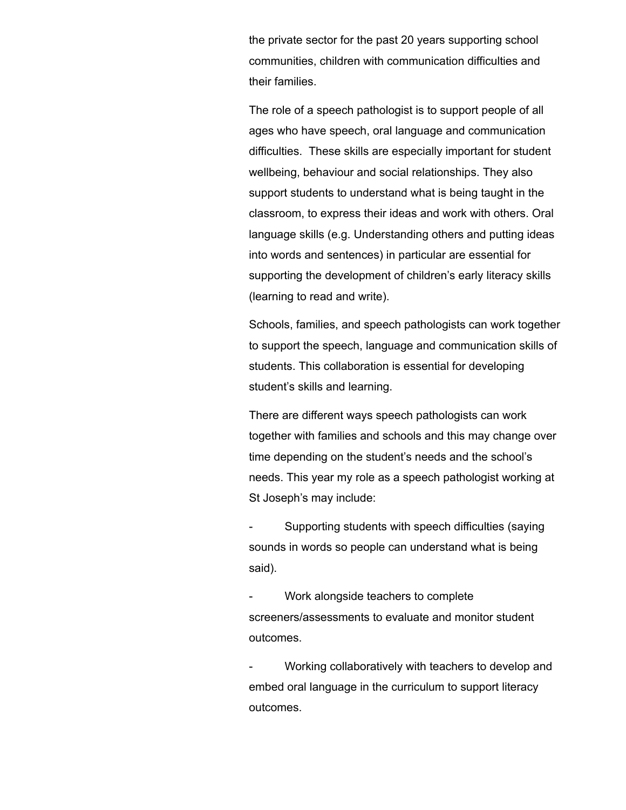the private sector for the past 20 years supporting school communities, children with communication difficulties and their families.

The role of a speech pathologist is to support people of all ages who have speech, oral language and communication difficulties. These skills are especially important for student wellbeing, behaviour and social relationships. They also support students to understand what is being taught in the classroom, to express their ideas and work with others. Oral language skills (e.g. Understanding others and putting ideas into words and sentences) in particular are essential for supporting the development of children's early literacy skills (learning to read and write).

Schools, families, and speech pathologists can work together to support the speech, language and communication skills of students. This collaboration is essential for developing student's skills and learning.

There are different ways speech pathologists can work together with families and schools and this may change over time depending on the student's needs and the school's needs. This year my role as a speech pathologist working at St Joseph's may include:

- Supporting students with speech difficulties (saying sounds in words so people can understand what is being said).

Work alongside teachers to complete screeners/assessments to evaluate and monitor student outcomes.

Working collaboratively with teachers to develop and embed oral language in the curriculum to support literacy outcomes.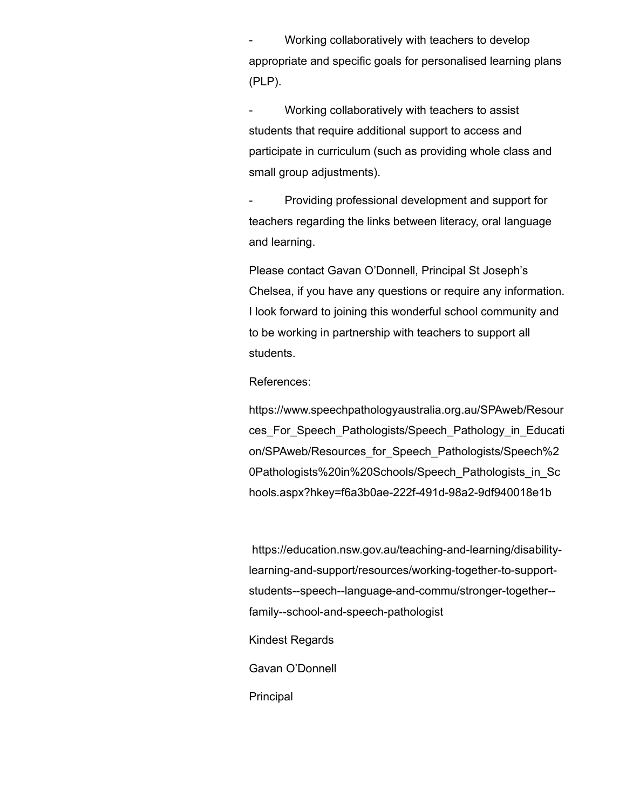Working collaboratively with teachers to develop appropriate and specific goals for personalised learning plans (PLP).

Working collaboratively with teachers to assist students that require additional support to access and participate in curriculum (such as providing whole class and small group adjustments).

- Providing professional development and support for teachers regarding the links between literacy, oral language and learning.

Please contact Gavan O'Donnell, Principal St Joseph's Chelsea, if you have any questions or require any information. I look forward to joining this wonderful school community and to be working in partnership with teachers to support all students.

#### References:

https://www.speechpathologyaustralia.org.au/SPAweb/Resour [ces\\_For\\_Speech\\_Pathologists/Speech\\_Pathology\\_in\\_Educati](https://www.speechpathologyaustralia.org.au/SPAweb/Resources_For_Speech_Pathologists/Speech_Pathology_in_Education/SPAweb/Resources_for_Speech_Pathologists/Speech%20Pathologists%20in%20Schools/Speech_Pathologists_in_Schools.aspx?hkey=f6a3b0ae-222f-491d-98a2-9df940018e1b) on/SPAweb/Resources\_for\_Speech\_Pathologists/Speech%2 0Pathologists%20in%20Schools/Speech\_Pathologists\_in\_Sc hools.aspx?hkey=f6a3b0ae-222f-491d-98a2-9df940018e1b

[https://education.nsw.gov.au/teaching-and-learning/disability](https://education.nsw.gov.au/teaching-and-learning/disability-learning-and-support/resources/working-together-to-support-students--speech--language-and-commu/stronger-together--family--school-and-speech-pathologist)learning-and-support/resources/working-together-to-supportstudents--speech--language-and-commu/stronger-together- family--school-and-speech-pathologist

Kindest Regards

Gavan O'Donnell

Principal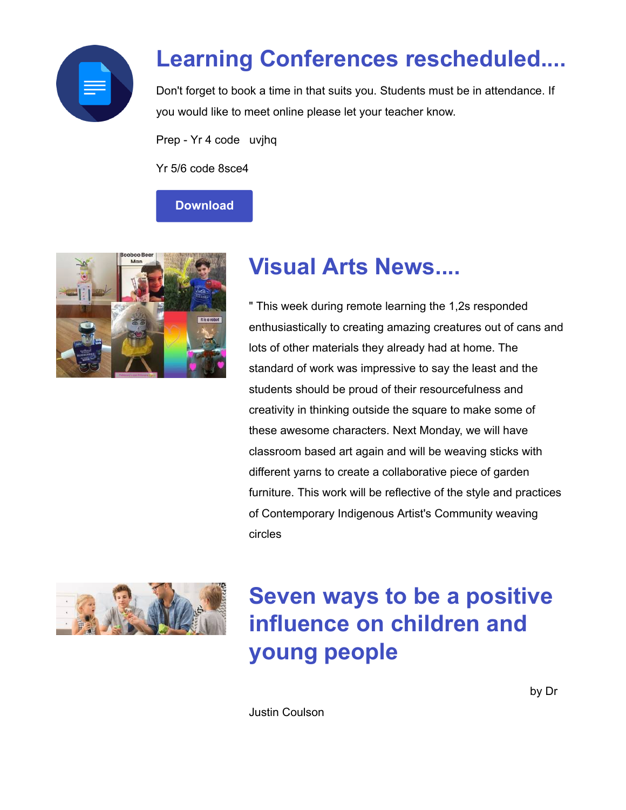

## **Learning Conferences rescheduled....**

Don't forget to book a time in that suits you. Students must be in attendance. If you would like to meet online please let your teacher know.

Prep - Yr 4 code uvjhq

Yr 5/6 code 8sce4

### **[Download](https://enewsletter.coralcommunities.com/download?file=/file_module/17667/file_download_17667_1154388388.pdf)**



### **Visual Arts News....**

" This week during remote learning the 1,2s responded enthusiastically to creating amazing creatures out of cans and lots of other materials they already had at home. The standard of work was impressive to say the least and the students should be proud of their resourcefulness and creativity in thinking outside the square to make some of these awesome characters. Next Monday, we will have classroom based art again and will be weaving sticks with different yarns to create a collaborative piece of garden furniture. This work will be reflective of the style and practices of Contemporary Indigenous Artist's Community weaving circles



# **Seven ways to be a positive influence on children and young people**

Justin Coulson

by Dr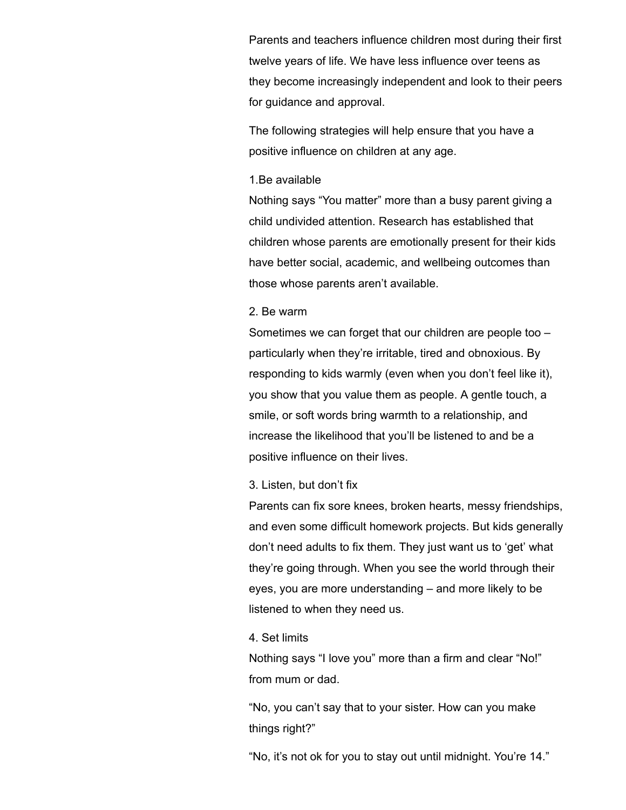Parents and teachers influence children most during their first twelve years of life. We have less influence over teens as they become increasingly independent and look to their peers for guidance and approval.

The following strategies will help ensure that you have a positive influence on children at any age.

#### 1.Be available

Nothing says "You matter" more than a busy parent giving a child undivided attention. Research has established that children whose parents are emotionally present for their kids have better social, academic, and wellbeing outcomes than those whose parents aren't available.

#### 2. Be warm

Sometimes we can forget that our children are people too – particularly when they're irritable, tired and obnoxious. By responding to kids warmly (even when you don't feel like it), you show that you value them as people. A gentle touch, a smile, or soft words bring warmth to a relationship, and increase the likelihood that you'll be listened to and be a positive influence on their lives.

#### 3. Listen, but don't fix

Parents can fix sore knees, broken hearts, messy friendships, and even some difficult homework projects. But kids generally don't need adults to fix them. They just want us to 'get' what they're going through. When you see the world through their eyes, you are more understanding – and more likely to be listened to when they need us.

#### 4. Set limits

Nothing says "I love you" more than a firm and clear "No!" from mum or dad.

"No, you can't say that to your sister. How can you make things right?"

"No, it's not ok for you to stay out until midnight. You're 14."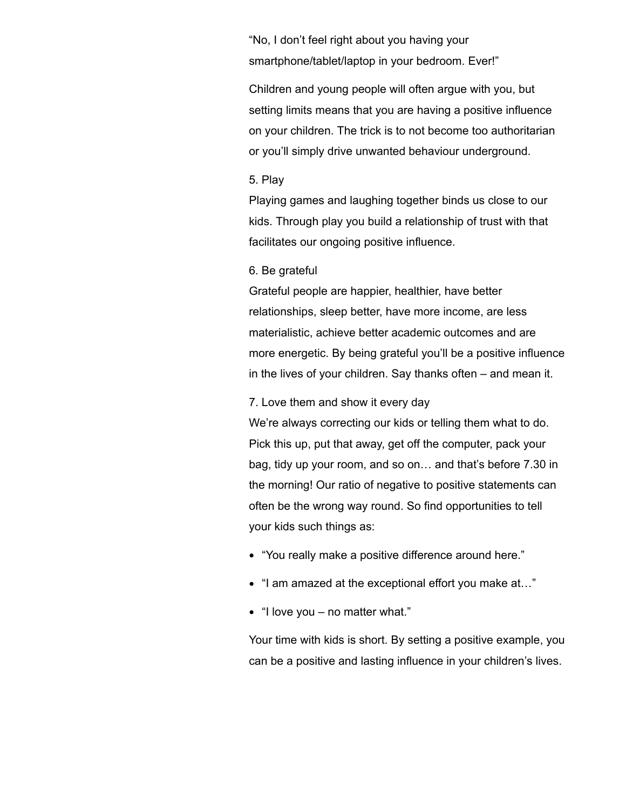"No, I don't feel right about you having your smartphone/tablet/laptop in your bedroom. Ever!"

Children and young people will often argue with you, but setting limits means that you are having a positive influence on your children. The trick is to not become too authoritarian or you'll simply drive unwanted behaviour underground.

#### 5. Play

Playing games and laughing together binds us close to our kids. Through play you build a relationship of trust with that facilitates our ongoing positive influence.

#### 6. Be grateful

Grateful people are happier, healthier, have better relationships, sleep better, have more income, are less materialistic, achieve better academic outcomes and are more energetic. By being grateful you'll be a positive influence in the lives of your children. Say thanks often – and mean it.

#### 7. Love them and show it every day

We're always correcting our kids or telling them what to do. Pick this up, put that away, get off the computer, pack your bag, tidy up your room, and so on… and that's before 7.30 in the morning! Our ratio of negative to positive statements can often be the wrong way round. So find opportunities to tell your kids such things as:

- "You really make a positive difference around here."
- "I am amazed at the exceptional effort you make at..."
- "I love you no matter what."

Your time with kids is short. By setting a positive example, you can be a positive and lasting influence in your children's lives.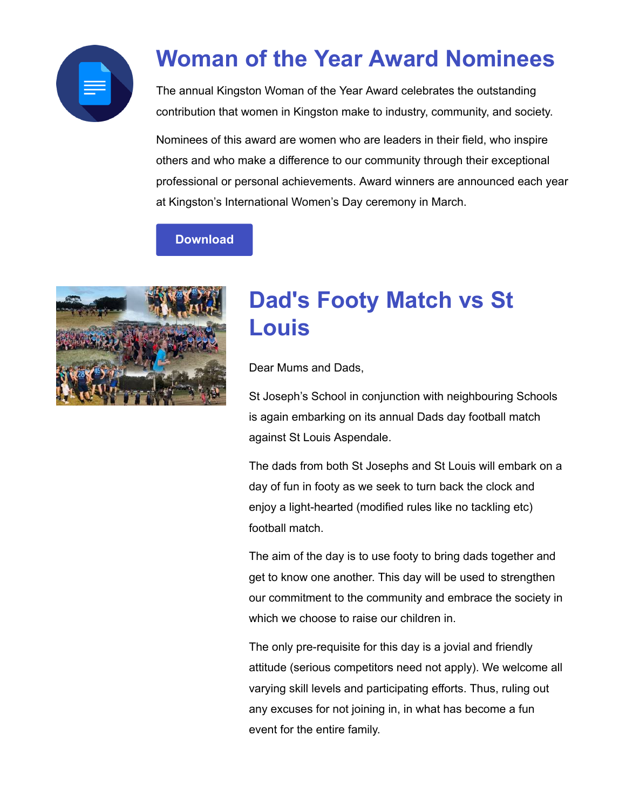

# **Woman of the Year Award Nominees**

The annual Kingston Woman of the Year Award celebrates the outstanding contribution that women in Kingston make to industry, community, and society.

Nominees of this award are women who are leaders in their field, who inspire others and who make a difference to our community through their exceptional professional or personal achievements. Award winners are announced each year at Kingston's International Women's Day ceremony in March.

### **[Download](https://enewsletter.coralcommunities.com/download?file=/file_module/17667/file_download_17667_785341867.pdf)**



### **Dad's Footy Match vs St Louis**

Dear Mums and Dads,

St Joseph's School in conjunction with neighbouring Schools is again embarking on its annual Dads day football match against St Louis Aspendale.

The dads from both St Josephs and St Louis will embark on a day of fun in footy as we seek to turn back the clock and enjoy a light-hearted (modified rules like no tackling etc) football match.

The aim of the day is to use footy to bring dads together and get to know one another. This day will be used to strengthen our commitment to the community and embrace the society in which we choose to raise our children in.

The only pre-requisite for this day is a jovial and friendly attitude (serious competitors need not apply). We welcome all varying skill levels and participating efforts. Thus, ruling out any excuses for not joining in, in what has become a fun event for the entire family.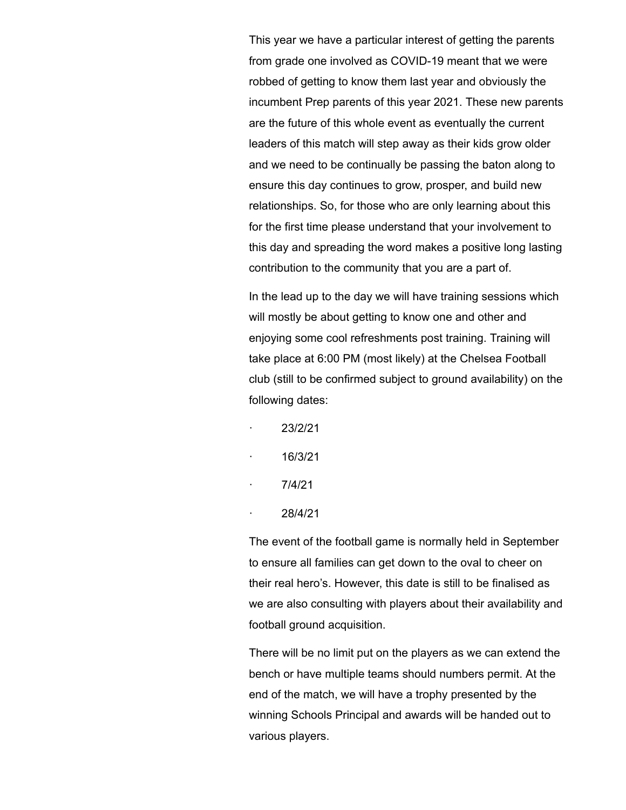This year we have a particular interest of getting the parents from grade one involved as COVID-19 meant that we were robbed of getting to know them last year and obviously the incumbent Prep parents of this year 2021. These new parents are the future of this whole event as eventually the current leaders of this match will step away as their kids grow older and we need to be continually be passing the baton along to ensure this day continues to grow, prosper, and build new relationships. So, for those who are only learning about this for the first time please understand that your involvement to this day and spreading the word makes a positive long lasting contribution to the community that you are a part of.

In the lead up to the day we will have training sessions which will mostly be about getting to know one and other and enjoying some cool refreshments post training. Training will take place at 6:00 PM (most likely) at the Chelsea Football club (still to be confirmed subject to ground availability) on the following dates:

- · 23/2/21
- · 16/3/21
- · 7/4/21
- · 28/4/21

The event of the football game is normally held in September to ensure all families can get down to the oval to cheer on their real hero's. However, this date is still to be finalised as we are also consulting with players about their availability and football ground acquisition.

There will be no limit put on the players as we can extend the bench or have multiple teams should numbers permit. At the end of the match, we will have a trophy presented by the winning Schools Principal and awards will be handed out to various players.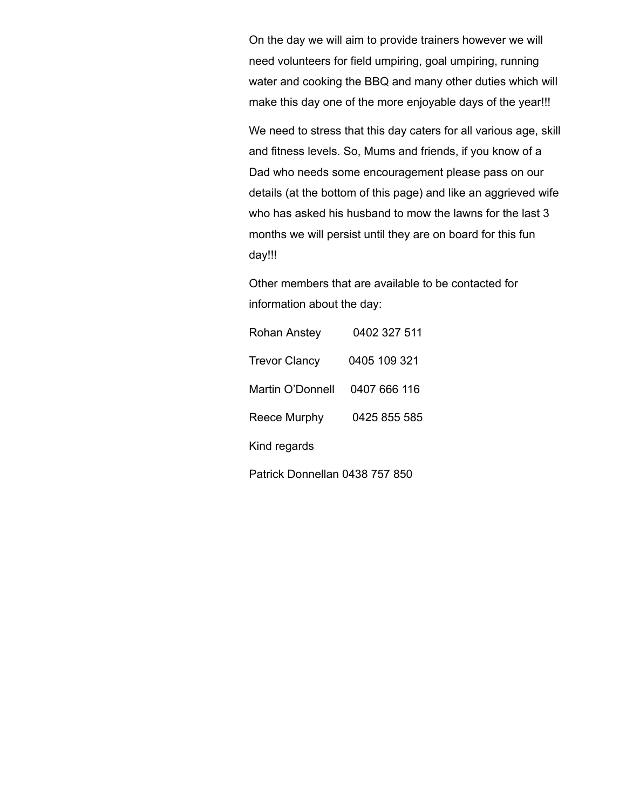On the day we will aim to provide trainers however we will need volunteers for field umpiring, goal umpiring, running water and cooking the BBQ and many other duties which will make this day one of the more enjoyable days of the year!!!

We need to stress that this day caters for all various age, skill and fitness levels. So, Mums and friends, if you know of a Dad who needs some encouragement please pass on our details (at the bottom of this page) and like an aggrieved wife who has asked his husband to mow the lawns for the last 3 months we will persist until they are on board for this fun day!!!

Other members that are available to be contacted for information about the day:

| <b>Rohan Anstey</b>            | 0402 327 511 |  |
|--------------------------------|--------------|--|
| <b>Trevor Clancy</b>           | 0405 109 321 |  |
| Martin O'Donnell               | 0407 666 116 |  |
| Reece Murphy                   | 0425 855 585 |  |
| Kind regards                   |              |  |
| Patrick Donnellan 0438 757 850 |              |  |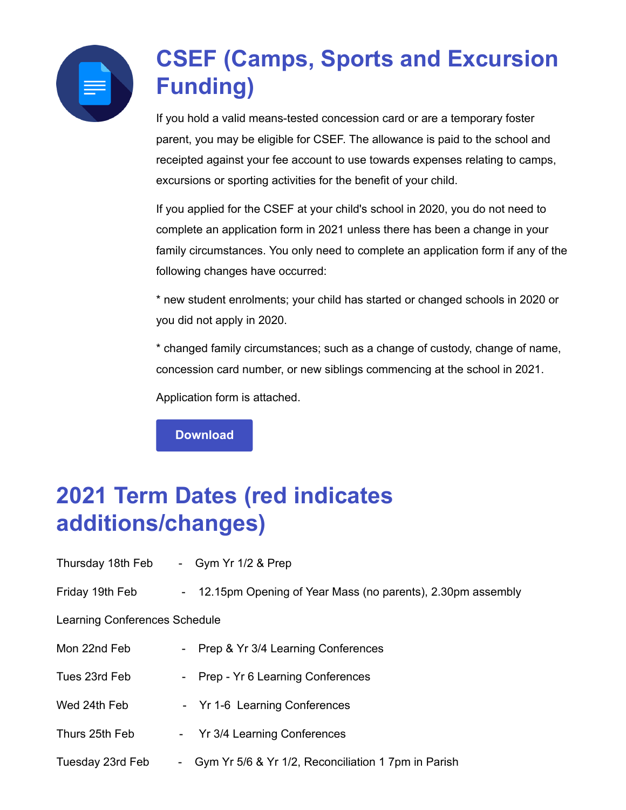

# **CSEF (Camps, Sports and Excursion Funding)**

If you hold a valid means-tested concession card or are a temporary foster parent, you may be eligible for CSEF. The allowance is paid to the school and receipted against your fee account to use towards expenses relating to camps, excursions or sporting activities for the benefit of your child.

If you applied for the CSEF at your child's school in 2020, you do not need to complete an application form in 2021 unless there has been a change in your family circumstances. You only need to complete an application form if any of the following changes have occurred:

\* new student enrolments; your child has started or changed schools in 2020 or you did not apply in 2020.

\* changed family circumstances; such as a change of custody, change of name, concession card number, or new siblings commencing at the school in 2021.

Application form is attached.

**[Download](https://enewsletter.coralcommunities.com/download?file=/file_module/17394/file_download_17394_3574211727.pdf)**

# **2021 Term Dates (red indicates additions/changes)**

| Thursday 18th Feb             | - Gym Yr $1/2$ & Prep                                        |
|-------------------------------|--------------------------------------------------------------|
| Friday 19th Feb               | - 12.15pm Opening of Year Mass (no parents), 2.30pm assembly |
| Learning Conferences Schedule |                                                              |
| Mon 22nd Feb                  | - Prep & Yr 3/4 Learning Conferences                         |
| Tues 23rd Feb                 | - Prep - Yr 6 Learning Conferences                           |
| Wed 24th Feb                  | - Yr 1-6 Learning Conferences                                |
| Thurs 25th Feb                | - Yr 3/4 Learning Conferences                                |
| Tuesday 23rd Feb              | - Gym Yr 5/6 & Yr 1/2, Reconciliation 1 7pm in Parish        |